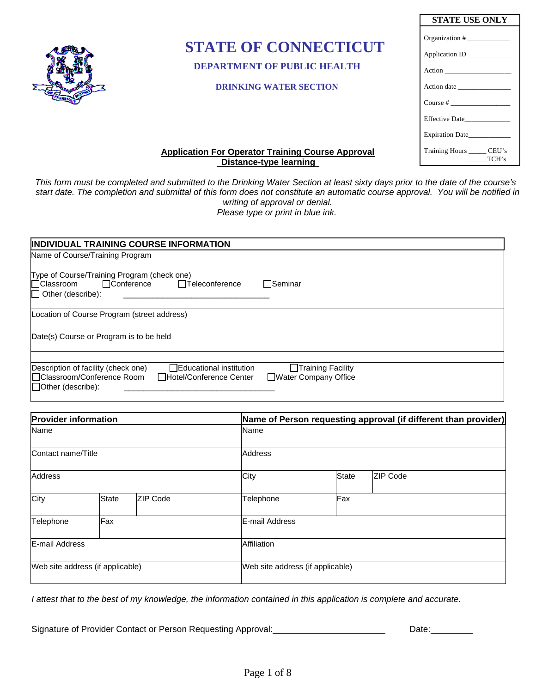

# **STATE OF CONNECTICUT**

 **DEPARTMENT OF PUBLIC HEALTH**

### **DRINKING WATER SECTION**

| STATE USE ONLY             |
|----------------------------|
| Organization #             |
|                            |
|                            |
|                            |
| Course $#$                 |
| <b>Effective Date</b>      |
| <b>Expiration Date</b>     |
| Training Hours _____ CEU's |
| TCH's<br>$\frac{1}{2}$     |

## **Application For Operator Training Course Approval Distance-type learning**

*This form must be completed and submitted to the Drinking Water Section at least sixty days prior to the date of the course's start date. The completion and submittal of this form does not constitute an automatic course approval. You will be notified in writing of approval or denial. Please type or print in blue ink.* 

| <b>INDIVIDUAL TRAINING COURSE INFORMATION</b>                                                                                                                 |                                           |
|---------------------------------------------------------------------------------------------------------------------------------------------------------------|-------------------------------------------|
| Name of Course/Training Program                                                                                                                               |                                           |
| Type of Course/Training Program (check one)                                                                                                                   |                                           |
| Conference<br><b>□ Classroom</b><br>□Teleconference                                                                                                           | <b>□</b> Seminar                          |
| $\Box$ Other (describe):                                                                                                                                      |                                           |
| Location of Course Program (street address)                                                                                                                   |                                           |
| Date(s) Course or Program is to be held                                                                                                                       |                                           |
|                                                                                                                                                               |                                           |
| Description of facility (check one)<br><b>Educational institution</b><br> □ Classroom/Conference Room<br>□Hotel/Conference Center<br>$\Box$ Other (describe): | Training Facility<br>Water Company Office |

| <b>Provider information</b>      |              |                 | Name of Person requesting approval (if different than provider) |          |  |  |  |  |
|----------------------------------|--------------|-----------------|-----------------------------------------------------------------|----------|--|--|--|--|
| Name                             |              |                 | Name                                                            |          |  |  |  |  |
| Contact name/Title               |              | <b>Address</b>  |                                                                 |          |  |  |  |  |
| <b>Address</b>                   |              | City            | <b>State</b>                                                    | ZIP Code |  |  |  |  |
| City                             | <b>State</b> | <b>ZIP Code</b> | Telephone                                                       | Fax      |  |  |  |  |
| Telephone                        | Fax          |                 | E-mail Address                                                  |          |  |  |  |  |
| <b>E-mail Address</b>            |              | Affiliation     |                                                                 |          |  |  |  |  |
| Web site address (if applicable) |              |                 | Web site address (if applicable)                                |          |  |  |  |  |

*I attest that to the best of my knowledge, the information contained in this application is complete and accurate.* 

Signature of Provider Contact or Person Requesting Approval: Date: Date: Date: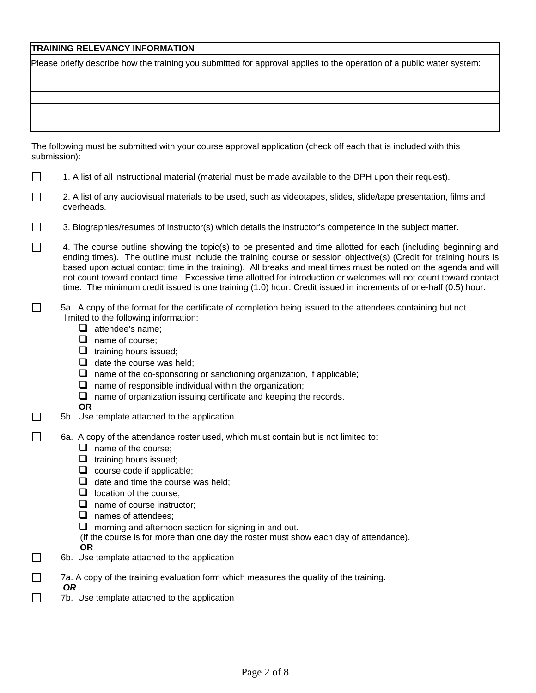## **TRAINING RELEVANCY INFORMATION**

| Please briefly describe how the training you submitted for approval applies to the operation of a public water system: |  |  |
|------------------------------------------------------------------------------------------------------------------------|--|--|
|                                                                                                                        |  |  |
|                                                                                                                        |  |  |
|                                                                                                                        |  |  |
|                                                                                                                        |  |  |
|                                                                                                                        |  |  |
|                                                                                                                        |  |  |
| The following must be submitted with your course consumed anglication (abook off cook that is included with this       |  |  |

The following must be submitted with your course approval application (check off each that is included with this submission):

- $\Box$ 1. A list of all instructional material (material must be made available to the DPH upon their request).
- □ 2. A list of any audiovisual materials to be used, such as videotapes, slides, slide/tape presentation, films and overheads.
- $\Box$  3. Biographies/resumes of instructor(s) which details the instructor's competence in the subject matter.
- $\Box$ 4. The course outline showing the topic(s) to be presented and time allotted for each (including beginning and ending times). The outline must include the training course or session objective(s) (Credit for training hours is based upon actual contact time in the training). All breaks and meal times must be noted on the agenda and will not count toward contact time. Excessive time allotted for introduction or welcomes will not count toward contact time. The minimum credit issued is one training (1.0) hour. Credit issued in increments of one-half (0.5) hour.
- 5a. A copy of the format for the certificate of completion being issued to the attendees containing but not limited to the following information:
	- $\Box$  attendee's name:
	- $\Box$  name of course;
	- $\Box$  training hours issued;
	- $\Box$  date the course was held;
	- $\Box$  name of the co-sponsoring or sanctioning organization, if applicable;
	- $\Box$  name of responsible individual within the organization;
	- $\Box$  name of organization issuing certificate and keeping the records.
	- **OR**
- $\Box$  5b. Use template attached to the application
- 6a. A copy of the attendance roster used, which must contain but is not limited to:
	- $\Box$  name of the course;
	- $\Box$  training hours issued;
	- $\Box$  course code if applicable;
	- $\Box$  date and time the course was held;
	- $\Box$  location of the course;
	- □ name of course instructor;
	- $\Box$  names of attendees;
	- $\Box$  morning and afternoon section for signing in and out.
	- (If the course is for more than one day the roster must show each day of attendance).
	- **OR**

*OR* 

- $\Box$  6b. Use template attached to the application
- $\Box$  7a. A copy of the training evaluation form which measures the quality of the training.
	-
- $\Box$  7b. Use template attached to the application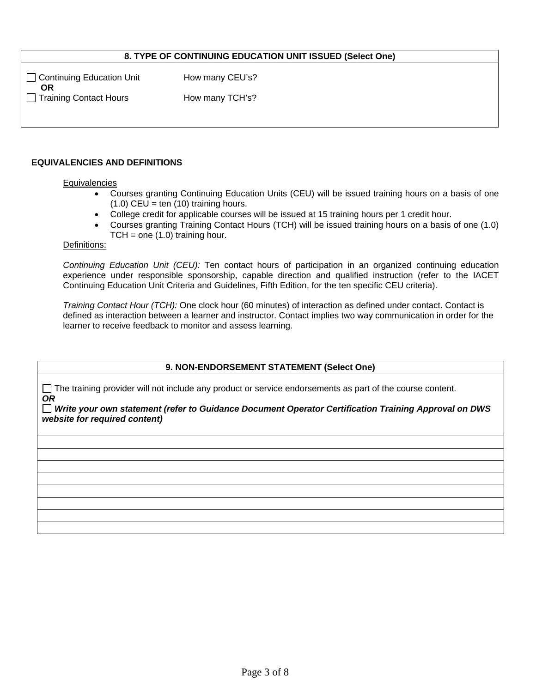## **8. TYPE OF CONTINUING EDUCATION UNIT ISSUED (Select One)**

 $\Box$  Continuing Education Unit How many CEU's? **OR**  □ Training Contact Hours How many TCH's?

#### **EQUIVALENCIES AND DEFINITIONS**

#### **Equivalencies**

- Courses granting Continuing Education Units (CEU) will be issued training hours on a basis of one  $(1.0)$  CEU = ten  $(10)$  training hours.
- College credit for applicable courses will be issued at 15 training hours per 1 credit hour.
- Courses granting Training Contact Hours (TCH) will be issued training hours on a basis of one (1.0)  $TCH = one (1.0)$  training hour.

#### Definitions:

*Continuing Education Unit (CEU):* Ten contact hours of participation in an organized continuing education experience under responsible sponsorship, capable direction and qualified instruction (refer to the IACET Continuing Education Unit Criteria and Guidelines, Fifth Edition, for the ten specific CEU criteria).

*Training Contact Hour (TCH):* One clock hour (60 minutes) of interaction as defined under contact. Contact is defined as interaction between a learner and instructor. Contact implies two way communication in order for the learner to receive feedback to monitor and assess learning.

#### **9. NON-ENDORSEMENT STATEMENT (Select One)**

 The training provider will not include any product or service endorsements as part of the course content. *OR* 

 *Write your own statement (refer to Guidance Document Operator Certification Training Approval on DWS website for required content)*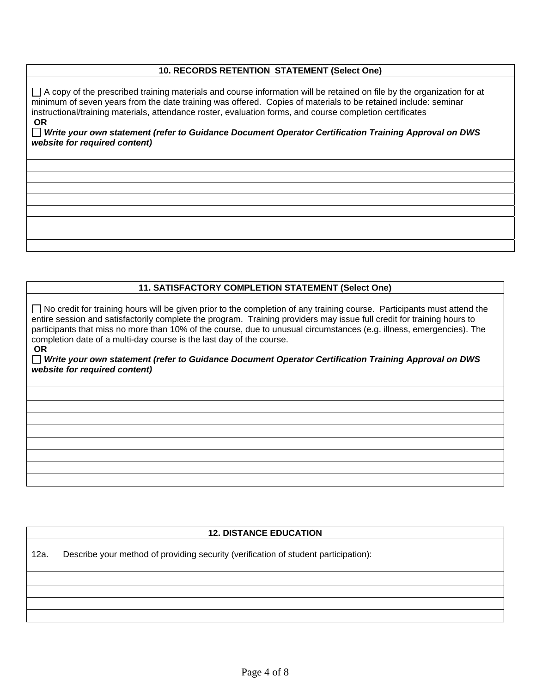## **10. RECORDS RETENTION STATEMENT (Select One)**

 $\Box$  A copy of the prescribed training materials and course information will be retained on file by the organization for at minimum of seven years from the date training was offered. Copies of materials to be retained include: seminar instructional/training materials, attendance roster, evaluation forms, and course completion certificates  **OR** 

 *Write your own statement (refer to Guidance Document Operator Certification Training Approval on DWS website for required content)* 

## **11. SATISFACTORY COMPLETION STATEMENT (Select One)**

□ No credit for training hours will be given prior to the completion of any training course. Participants must attend the entire session and satisfactorily complete the program. Training providers may issue full credit for training hours to participants that miss no more than 10% of the course, due to unusual circumstances (e.g. illness, emergencies). The completion date of a multi-day course is the last day of the course.  **OR** 

 *Write your own statement (refer to Guidance Document Operator Certification Training Approval on DWS website for required content)* 

#### **12. DISTANCE EDUCATION**

12a. Describe your method of providing security (verification of student participation):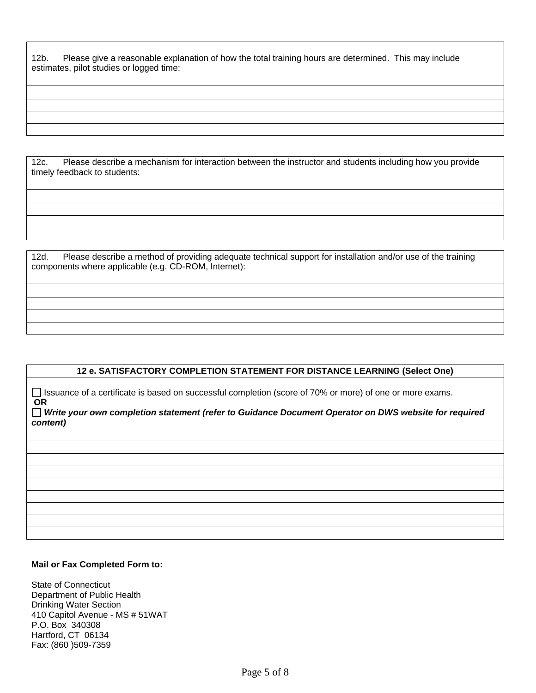12b. Please give a reasonable explanation of how the total training hours are determined. This may include estimates, pilot studies or logged time:

12c. Please describe a mechanism for interaction between the instructor and students including how you provide timely feedback to students:

12d. Please describe a method of providing adequate technical support for installation and/or use of the training components where applicable (e.g. CD-ROM, Internet):

### **12 e. SATISFACTORY COMPLETION STATEMENT FOR DISTANCE LEARNING (Select One)**

□ Issuance of a certificate is based on successful completion (score of 70% or more) of one or more exams.  **OR** 

#### *Write your own completion statement (refer to Guidance Document Operator on DWS website for required content)*

#### **Mail or Fax Completed Form to:**

State of Connecticut Department of Public Health Drinking Water Section 410 Capitol Avenue - MS # 51WAT P.O. Box 340308 Hartford, CT 06134 Fax: (860 )509-7359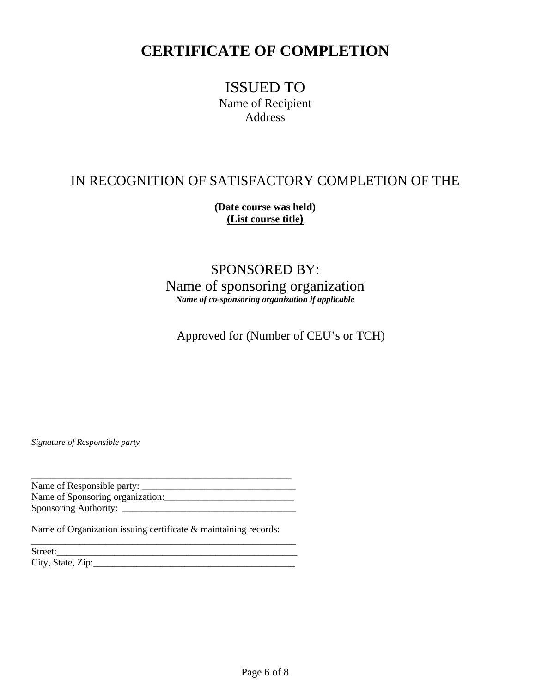## **CERTIFICATE OF COMPLETION**

ISSUED TO Name of Recipient Address

## IN RECOGNITION OF SATISFACTORY COMPLETION OF THE

**(Date course was held) (List course title)**

SPONSORED BY: Name of sponsoring organization *Name of co-sponsoring organization if applicable* 

Approved for (Number of CEU's or TCH)

*Signature of Responsible party* 

\_\_\_\_\_\_\_\_\_\_\_\_\_\_\_\_\_\_\_\_\_\_\_\_\_\_\_\_\_\_\_\_\_\_\_\_\_\_\_\_\_\_\_\_\_\_\_\_\_\_\_\_\_\_ Name of Responsible party: \_\_\_\_\_\_\_\_\_\_\_\_\_\_\_\_\_\_\_\_\_\_\_\_\_\_\_\_\_\_\_\_ Name of Sponsoring organization:\_\_\_\_\_\_\_\_\_\_\_\_\_\_\_\_\_\_\_\_\_\_\_\_\_\_\_ Sponsoring Authority: \_\_\_\_\_\_\_\_\_\_\_\_\_\_\_\_\_\_\_\_\_\_\_\_\_\_\_\_\_\_\_\_\_\_\_\_

\_\_\_\_\_\_\_\_\_\_\_\_\_\_\_\_\_\_\_\_\_\_\_\_\_\_\_\_\_\_\_\_\_\_\_\_\_\_\_\_\_\_\_\_\_\_\_\_\_\_\_\_\_\_\_

Name of Organization issuing certificate & maintaining records:

Street:\_\_\_\_\_\_\_\_\_\_\_\_\_\_\_\_\_\_\_\_\_\_\_\_\_\_\_\_\_\_\_\_\_\_\_\_\_\_\_\_\_\_\_\_\_\_\_\_\_\_ City, State, Zip:\_\_\_\_\_\_\_\_\_\_\_\_\_\_\_\_\_\_\_\_\_\_\_\_\_\_\_\_\_\_\_\_\_\_\_\_\_\_\_\_\_\_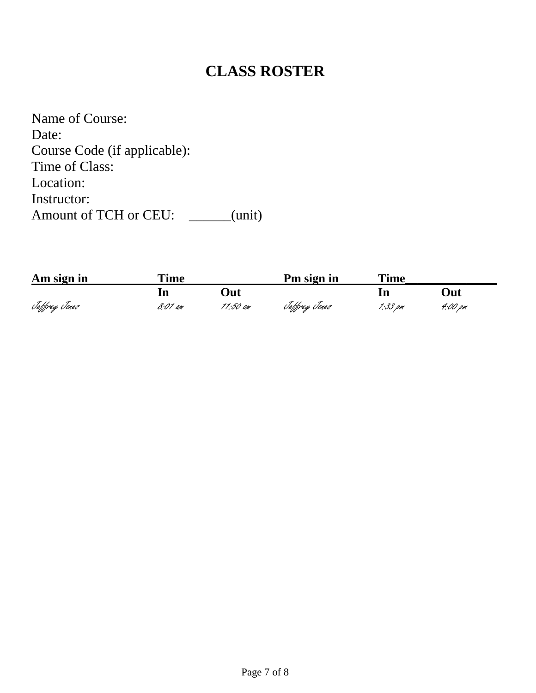# **CLASS ROSTER**

Name of Course: Date: Course Code (if applicable): Time of Class: Location: Instructor: Amount of TCH or CEU: \_\_\_\_\_(unit)

| Am sign in    | <b>Time</b> |          | Pm sign in    | <b>Time</b> |         |
|---------------|-------------|----------|---------------|-------------|---------|
|               |             | )ut      |               |             | Out     |
| Teffrey Tones | 8:01 am     | 11:50 am | Jeffrey Jones | 1:33 pm     | 4:00 pm |